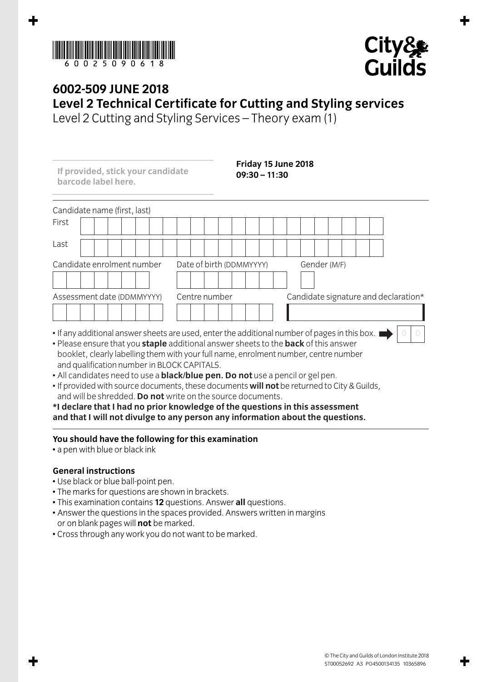



## **6002-509 JUNE 2018 Level 2 Technical Certificate for Cutting and Styling services**

Level 2 Cutting and Styling Services – Theory exam (1)

**If provided, stick your candidate barcode label here.**

**Friday 15 June 2018 09:30 – 11:30**

| Candidate name (first, last)                                                                  |                          |                                      |
|-----------------------------------------------------------------------------------------------|--------------------------|--------------------------------------|
| First                                                                                         |                          |                                      |
| Last                                                                                          |                          |                                      |
| Candidate enrolment number                                                                    | Date of birth (DDMMYYYY) | Gender (M/F)                         |
|                                                                                               |                          |                                      |
| Assessment date (DDMMYYYY)                                                                    | Centre number            | Candidate signature and declaration* |
|                                                                                               |                          |                                      |
| • If any additional answer sheets are used, enter the additional number of pages in this box. |                          |                                      |

- If any additional answer sheets are used, enter the additional number of pages in this box.  $\blacksquare$
- Please ensure that you **staple** additional answer sheets to the **back** of this answer booklet, clearly labelling them with your full name, enrolment number, centre number and qualification number in BLOCK CAPITALS.
- All candidates need to use a **black/blue pen. Do not** use a pencil or gel pen.
- If provided with source documents, these documents **will not** be returned to City & Guilds, and will be shredded. **Do not** write on the source documents.

**\*I declare that I had no prior knowledge of the questions in this assessment and that I will not divulge to any person any information about the questions.**

## **You should have the following for this examination**

• a pen with blue or black ink

## **General instructions**

- Use black or blue ball-point pen.
- The marks for questions are shown in brackets.
- This examination contains **12** questions. Answer **all** questions.
- Answer the questions in the spaces provided. Answers written in margins or on blank pages will **not** be marked.
- Cross through any work you do not want to be marked.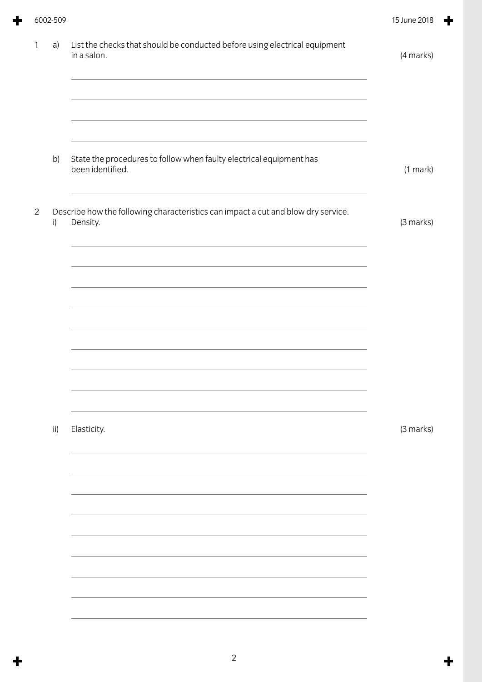|                | 6002-509     |                                                                                                                                                                                                                                                                                                                                                                         | 15 June 2018 |
|----------------|--------------|-------------------------------------------------------------------------------------------------------------------------------------------------------------------------------------------------------------------------------------------------------------------------------------------------------------------------------------------------------------------------|--------------|
| 1              | a)           | List the checks that should be conducted before using electrical equipment<br>in a salon.<br>and the control of the control of the control of the control of the control of the control of the control of the<br><u> 1989 - Johann Stoff, amerikansk politiker (* 1908)</u>                                                                                             | (4 marks)    |
|                | b)           | and the control of the control of the control of the control of the control of the control of the control of the<br>State the procedures to follow when faulty electrical equipment has<br>been identified.                                                                                                                                                             | (1 mark)     |
| $\overline{2}$ | $\mathsf{i}$ | Describe how the following characteristics can impact a cut and blow dry service.<br>Density.<br><u> 1989 - Johann Stoff, amerikansk politiker (* 1908)</u>                                                                                                                                                                                                             | (3 marks)    |
|                |              |                                                                                                                                                                                                                                                                                                                                                                         |              |
|                |              | <u> 1989 - Johann Stoff, deutscher Stoff, der Stoff, der Stoff, der Stoff, der Stoff, der Stoff, der Stoff, der S</u><br><u> 1989 - Johann Stoff, deutscher Stoff, der Stoff, der Stoff, der Stoff, der Stoff, der Stoff, der Stoff, der S</u><br><u> 1980 - Andrea Station Barbara, actor a component de la componentación de la componentación de la componentaci</u> |              |
|                |              |                                                                                                                                                                                                                                                                                                                                                                         |              |
|                | ii)          | Elasticity.                                                                                                                                                                                                                                                                                                                                                             | (3 marks)    |
|                |              |                                                                                                                                                                                                                                                                                                                                                                         |              |
|                |              |                                                                                                                                                                                                                                                                                                                                                                         |              |
|                |              |                                                                                                                                                                                                                                                                                                                                                                         |              |
|                |              |                                                                                                                                                                                                                                                                                                                                                                         |              |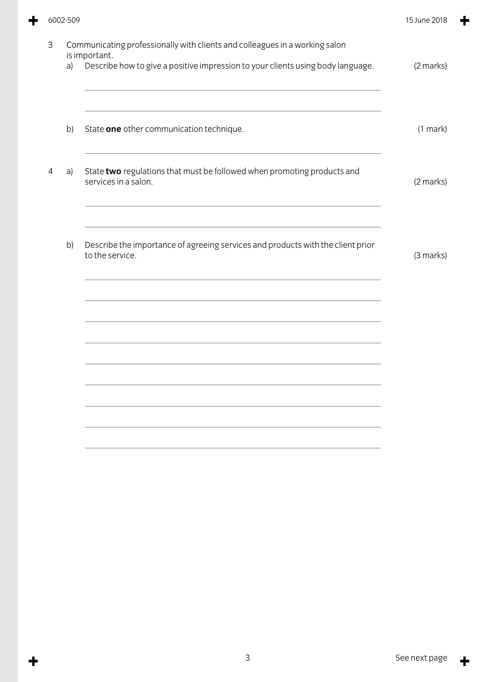|    |                                                                                                    | 15 June 2018                                                                                             |
|----|----------------------------------------------------------------------------------------------------|----------------------------------------------------------------------------------------------------------|
| a) | Describe how to give a positive impression to your clients using body language.                    | (2 marks)                                                                                                |
| b) | State one other communication technique.                                                           | $(1$ mark $)$                                                                                            |
| a) | State two regulations that must be followed when promoting products and<br>services in a salon.    | (2 marks)                                                                                                |
| b) | Describe the importance of agreeing services and products with the client prior<br>to the service. | (3 marks)                                                                                                |
|    |                                                                                                    |                                                                                                          |
|    |                                                                                                    |                                                                                                          |
|    |                                                                                                    | 6002-509<br>Communicating professionally with clients and colleagues in a working salon<br>is important. |

 $\div$ 

 $\ddot{\phantom{1}}$ 

 $\ddot{\phantom{1}}$ 

۰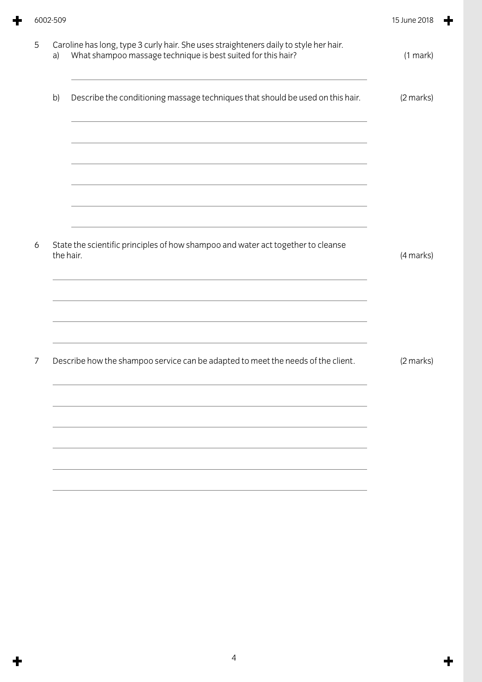| a) | Caroline has long, type 3 curly hair. She uses straighteners daily to style her hair.<br>What shampoo massage technique is best suited for this hair? | (1 mark)  |
|----|-------------------------------------------------------------------------------------------------------------------------------------------------------|-----------|
| b) | Describe the conditioning massage techniques that should be used on this hair.                                                                        | (2 marks) |
|    |                                                                                                                                                       |           |
|    |                                                                                                                                                       |           |
|    |                                                                                                                                                       |           |
|    | State the scientific principles of how shampoo and water act together to cleanse<br>the hair.                                                         | (4 marks) |
|    | and the control of the control of the control of the control of the control of the control of the control of the                                      |           |
|    |                                                                                                                                                       |           |
|    | Describe how the shampoo service can be adapted to meet the needs of the client.                                                                      |           |
|    |                                                                                                                                                       |           |
|    |                                                                                                                                                       |           |
|    |                                                                                                                                                       | (2 marks) |

 $\ddot{\textbf{r}}$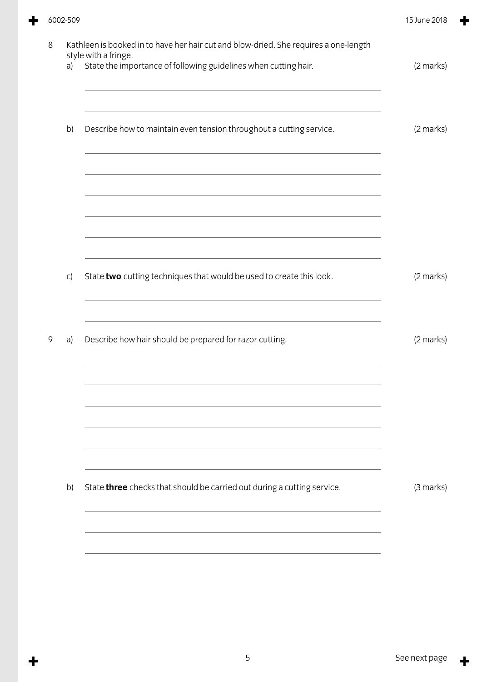$\ddagger$ 

╋

| a) | style with a fringe.<br>State the importance of following guidelines when cutting hair. | (2 marks) |
|----|-----------------------------------------------------------------------------------------|-----------|
| b) | Describe how to maintain even tension throughout a cutting service.                     | (2 marks) |
|    |                                                                                         |           |
| C) | State two cutting techniques that would be used to create this look.                    | (2 marks) |
| a) | Describe how hair should be prepared for razor cutting.                                 | (2 marks) |
|    |                                                                                         |           |
| b) | State three checks that should be carried out during a cutting service.                 | (3 marks) |
|    |                                                                                         |           |

 $\ddot{\phantom{1}}$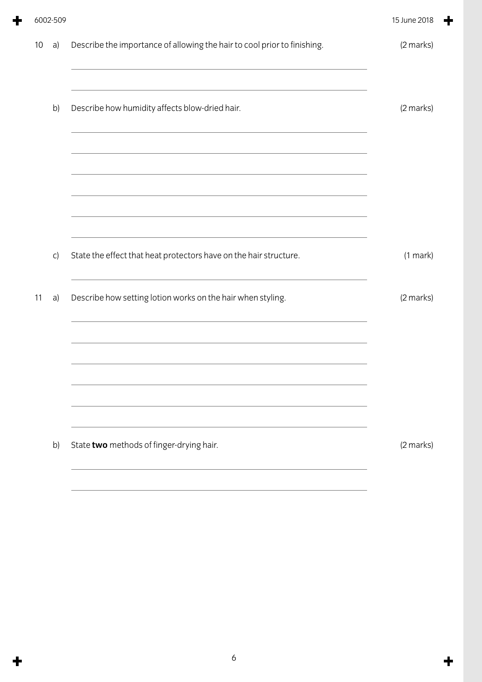|    | 6002-509     |                                                                                                                       | 15 June 2018 |
|----|--------------|-----------------------------------------------------------------------------------------------------------------------|--------------|
| 10 | a)           | Describe the importance of allowing the hair to cool prior to finishing.                                              | (2 marks)    |
|    | b)           | <u> 1989 - Johann Stoff, amerikansk politiker (d. 1989)</u><br>Describe how humidity affects blow-dried hair.         | (2 marks)    |
|    |              | <u> 1989 - Johann Stoff, deutscher Stoff, der Stoff, der Stoff, der Stoff, der Stoff, der Stoff, der Stoff, der S</u> |              |
|    |              |                                                                                                                       |              |
|    | $\mathsf{C}$ | State the effect that heat protectors have on the hair structure.                                                     | (1 mark)     |
| 11 | a)           | Describe how setting lotion works on the hair when styling.                                                           | (2 marks)    |
|    |              |                                                                                                                       |              |
|    |              |                                                                                                                       |              |
|    | b)           | State two methods of finger-drying hair.                                                                              | (2 marks)    |

╋

 $\ddot{\textbf{r}}$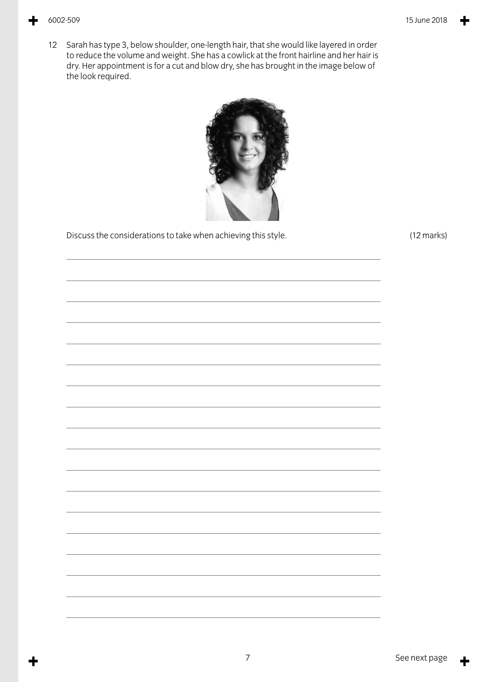12 Sarah has type 3, below shoulder, one-length hair, that she would like layered in order to reduce the volume and weight. She has a cowlick at the front hairline and her hair is dry. Her appointment is for a cut and blow dry, she has brought in the image below of the look required.



Discuss the considerations to take when achieving this style. (12 marks)